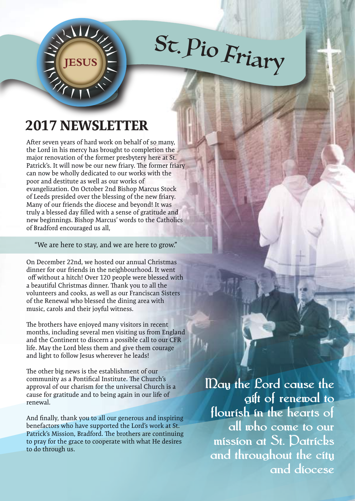## <sup>S</sup>t. <sup>P</sup><sup>i</sup><sup>o</sup> <sup>F</sup>ria<sup>r</sup><sup>y</sup>

## **2017 NEWSLETTER**

**JESUS**

After seven years of hard work on behalf of so many, the Lord in his mercy has brought to completion the major renovation of the former presbytery here at St. Patrick's. It will now be our new friary. The former friary can now be wholly dedicated to our works with the poor and destitute as well as our works of evangelization. On October 2nd Bishop Marcus Stock of Leeds presided over the blessing of the new friary. Many of our friends the diocese and beyond! It was truly a blessed day filled with a sense of gratitude and new beginnings. Bishop Marcus' words to the Catholics of Bradford encouraged us all,

"We are here to stay, and we are here to grow."

On December 22nd, we hosted our annual Christmas dinner for our friends in the neighbourhood. It went off without a hitch! Over 120 people were blessed with a beautiful Christmas dinner. Thank you to all the volunteers and cooks, as well as our Franciscan Sisters of the Renewal who blessed the dining area with music, carols and their joyful witness.

The brothers have enjoyed many visitors in recent months, including several men visiting us from England and the Continent to discern a possible call to our CFR life. May the Lord bless them and give them courage and light to follow Jesus wherever he leads!

The other big news is the establishment of our community as a Pontifical Institute. The Church's approval of our charism for the universal Church is a cause for gratitude and to being again in our life of renewal.

And finally, thank you to all our generous and inspiring benefactors who have supported the Lord's work at St. Patrick's Mission, Bradford. The brothers are continuing to pray for the grace to cooperate with what He desires to do through us.

**May the Lord cause the gift of renewal to flourish in the hearts of all who come to our mission at St. Patricks and throughout the city and diocese**